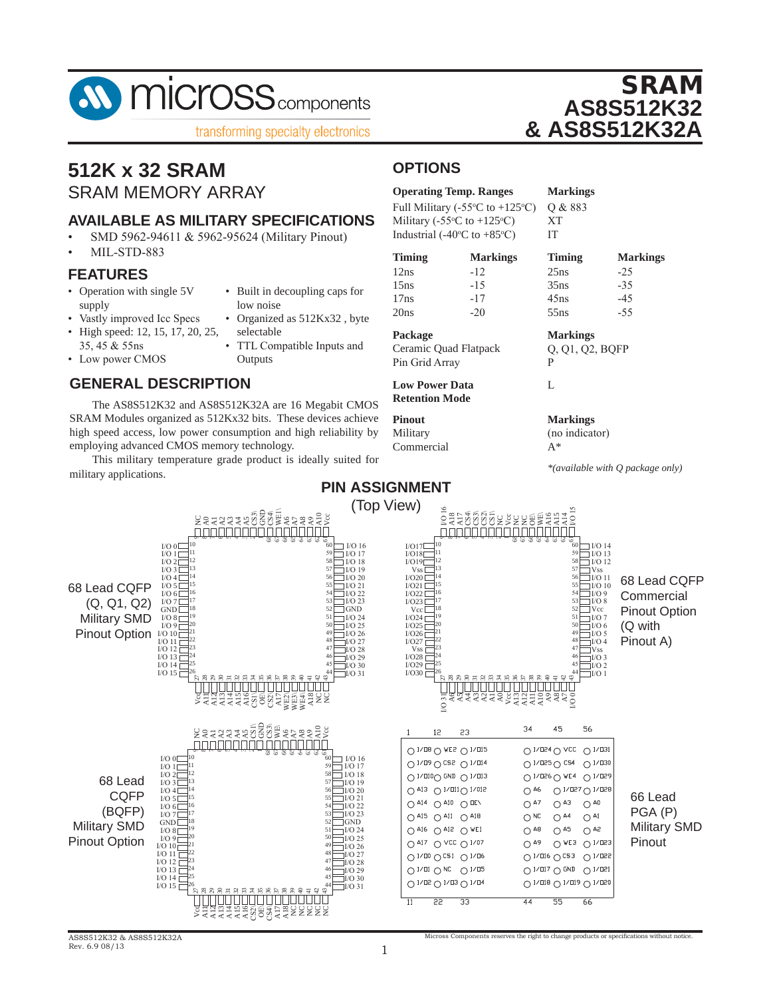

### **512K x 32 SRAM** SRAM MEMORY ARRAY

### **AVAILABLE AS MILITARY SPECIFICATIONS**

- SMD 5962-94611 & 5962-95624 (Military Pinout)
- MIL-STD-883

#### **FEATURES**

- Operation with single 5V supply • Built in decoupling caps for low noise
	- Vastly improved Icc Specs • Organized as 512Kx32, byte
- High speed: 12, 15, 17, 20, 25, 35, 45 & 55ns
- Low power CMOS
- selectable TTL Compatible Inputs and **Outputs**
- **GENERAL DESCRIPTION**

The AS8S512K32 and AS8S512K32A are 16 Megabit CMOS SRAM Modules organized as 512Kx32 bits. These devices achieve high speed access, low power consumption and high reliability by employing advanced CMOS memory technology.

This military temperature grade product is ideally suited for military applications.

### **OPTIONS**

| <b>Operating Temp. Ranges</b>                       | <b>Markings</b> |
|-----------------------------------------------------|-----------------|
| Full Military (-55 $\degree$ C to +125 $\degree$ C) | O & 883         |
| Military (-55 $\degree$ C to +125 $\degree$ C)      | XT              |
| Industrial (-40 $\degree$ C to +85 $\degree$ C)     | IТ              |

| <b>Timing</b> | <b>Markings</b> | <b>Timing</b> | <b>Markings</b> |
|---------------|-----------------|---------------|-----------------|
| 12ns          | $-12$           | 25ns          | $-25$           |
| 15ns          | $-1.5$          | 35ns          | $-35$           |
| 17ns          | $-17$           | 45ns          | $-45$           |
| 20ns          | $-20$           | 55ns          | $-55$           |

**Package Markings** Ceramic Quad Flatpack Q, Q1, Q2, BQFP

Pin Grid Array P

**Low Power Data Retention Mode**

**Pinout Markings** Commercial A\*

Military (no indicator)

L

*\*(available with Q package only)*

SRAM

**AS8S512K32**

**& AS8S512K32A**



Micross Components reserves the right to change products or specifications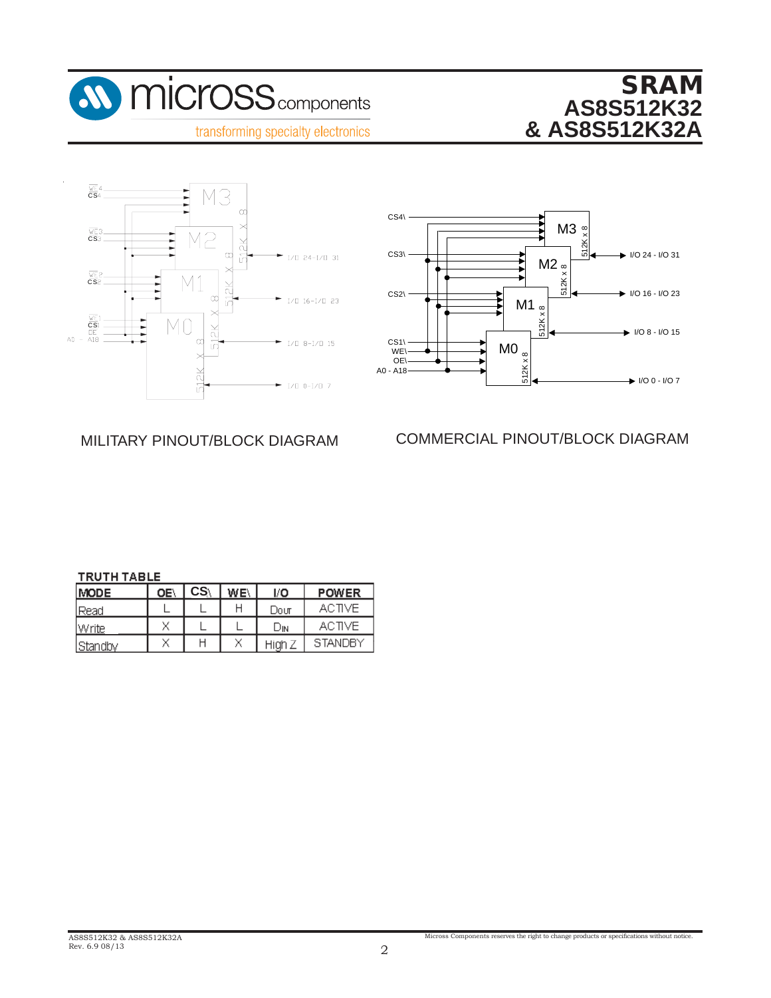







MILITARY PINOUT/BLOCK DIAGRAM COMMERCIAL PINOUT/BLOCK DIAGRAM MILITARY PINOUT/BLOCK DIAGRAM COMMERCIAL PINOUT/BLOCK DIAGRAM

#### **TRUTH TABLE**

| <b>MODE</b> | ΟE <sup>1</sup> | CS <sub>1</sub> | WE\ | I/O    | <b>POWER</b>  |
|-------------|-----------------|-----------------|-----|--------|---------------|
| l Read      |                 |                 |     | Dour   | ACTIVE.       |
| Write       | W               |                 |     | Dіn    | <b>ACTIVE</b> |
| Standby     | N.A             |                 | v   | High Z | STANDBY       |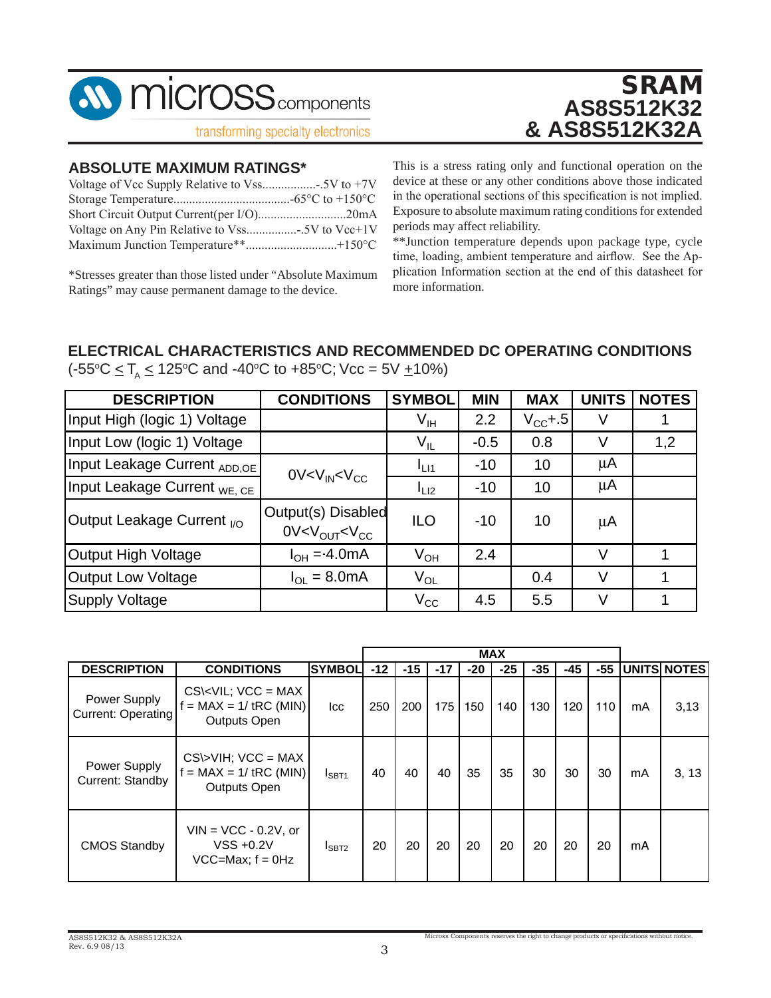

# **ABSOLUTE MAXIMUM RATINGS\* ABSOLUTE MAXIMUM RATINGS\***

| Short Circuit Output Current(per I/O)20mA |  |
|-------------------------------------------|--|
|                                           |  |
|                                           |  |
|                                           |  |

\*Stresses greater than those listed under "Absolute Maximum Alternative may cause permanent damage to the device. Ratings" may cause permanent damage to the device.

SRAM SRAM **AS8S512K32 AS8S512K32 & AS8S512K32A & AS8S512K32A**

This is a stress rating only and functional operation on the This is a stress rating only and functional operation on the device at these or any other conditions above those indicated device at these or any other conditions above those indicated in the operational sections of this specification is not implied. Exposure to absolute maximum rating conditions for extended Exposure to absolute maximum rating conditions for extended periods may affect reliability.

\*\*Junction temperature depends upon package type, cycle \*\*Junction temperature depends upon package type, cycle time, time, loading, ambient temperature and airflow. See the Application plication Information section at the end of this datasheet for more information. mation.

# **ELECTRICAL CHARACTERISTICS AND RECOMMENDED DC OPERATING CONDITIONS ELECTRICAL CHARACTERISTICS AND RECOMMENDED DC OPERATING CONDITIONS**  $(-55^{\circ}C \leq T_A \leq 125^{\circ}C \text{ and } -40^{\circ}C \text{ to } +85^{\circ}C; \text{Vec} = 5V \pm 10\%)$

| <b>DESCRIPTION</b>                      | <b>CONDITIONS</b>                                             | <b>SYMBOL</b>              | <b>MIN</b> | <b>MAX</b>   | <b>UNITS</b> | <b>NOTES</b> |
|-----------------------------------------|---------------------------------------------------------------|----------------------------|------------|--------------|--------------|--------------|
| Input High (logic 1) Voltage            |                                                               | $V_{IH}$                   | 2.2        | $V_{CC}$ +.5 | V            |              |
| Input Low (logic 1) Voltage             |                                                               | $\mathsf{V}_{\mathsf{IL}}$ | $-0.5$     | 0.8          | V            | 1,2          |
| Input Leakage Current ADD, OE           | 0V < V <sub>IN</sub> < V <sub>CC</sub>                        | $I_{L11}$                  | $-10$      | 10           | μA           |              |
| Input Leakage Current <sub>WE. CE</sub> |                                                               | $I_{L12}$                  | $-10$      | 10           | μ $A$        |              |
| Output Leakage Current <sub>I/O</sub>   | Output(s) Disabled<br>0V < V <sub>OUT</sub> < V <sub>CC</sub> | <b>ILO</b>                 | $-10$      | 10           | μA           |              |
| Output High Voltage                     | $I_{OH} = -4.0 \text{mA}$                                     | $V_{OH}$                   | 2.4        |              | V            |              |
| Output Low Voltage                      | $I_{\Omega I} = 8.0 \text{mA}$                                | $V_{OL}$                   |            | 0.4          | V            |              |
| <b>Supply Voltage</b>                   |                                                               | $V_{\rm CC}$               | 4.5        | 5.5          | $\vee$       |              |

|                                           |                                                                                       |               |       |       |       |       | <b>MAX</b> |       |     |       |    |             |
|-------------------------------------------|---------------------------------------------------------------------------------------|---------------|-------|-------|-------|-------|------------|-------|-----|-------|----|-------------|
| <b>DESCRIPTION</b>                        | <b>CONDITIONS</b>                                                                     | <b>SYMBOL</b> | $-12$ | $-15$ | $-17$ | $-20$ | $-25$      | $-35$ | -45 | $-55$ |    | UNITS NOTES |
| Power Supply<br><b>Current: Operating</b> | $CS\lt VIL$ ; $VCC = MAX$<br>$= MAX = 1 / tRC (MIN)$<br><b>Outputs Open</b>           | Icc           | 250   | 200   | 175   | 150   | 140        | 130   | 120 | 110   | mA | 3,13        |
| <b>Power Supply</b><br>Current: Standby   | $CS\triangleright$ VIH; VCC = MAX<br>$f = MAX = 1 / tRC (MIN)$<br><b>Outputs Open</b> | $I_{SBT1}$    | 40    | 40    | 40    | 35    | 35         | 30    | 30  | 30    | mA | 3, 13       |
| <b>CMOS Standby</b>                       | $VIN = VCC - 0.2V$ , or<br>$VSS + 0.2V$<br>$VCC=Max; f = 0Hz$                         | $I_{SBT2}$    | 20    | 20    | 20    | 20    | 20         | 20    | 20  | 20    | mA |             |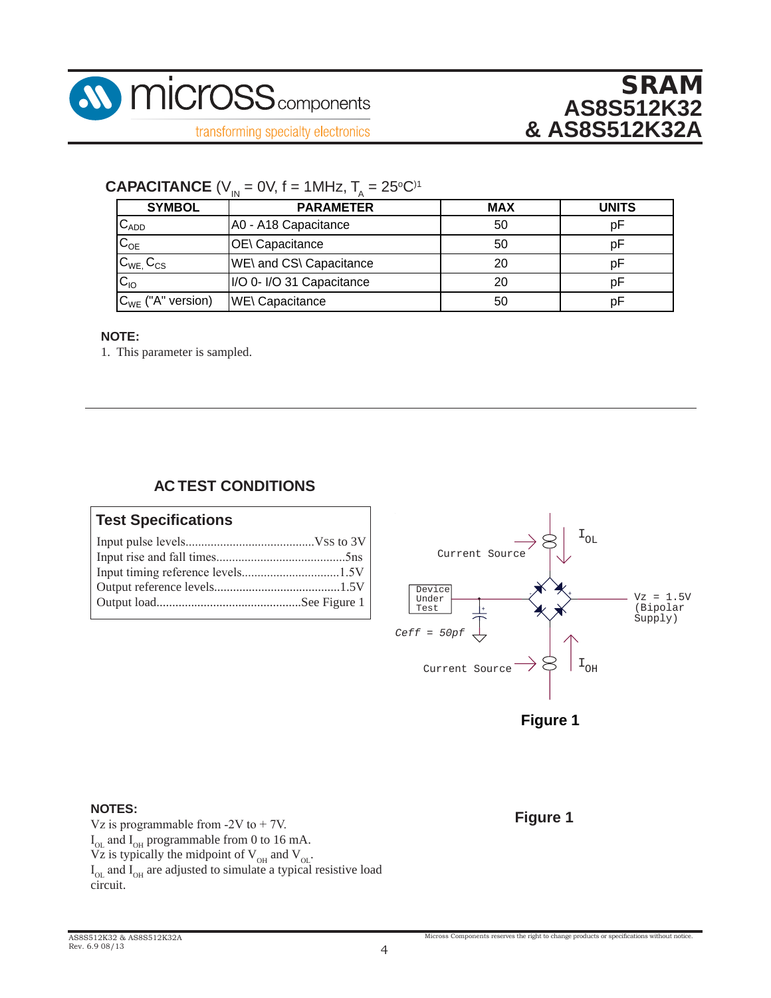

### **CAPACITANCE** ( $V_{IN} = 0V$ , f = 1MHz,  $T_A = 25^{\circ}C$ )<sup>1</sup>

| <b>SYMBOL</b>          | <b>PARAMETER</b>          | <b>MAX</b> | <b>UNITS</b> |
|------------------------|---------------------------|------------|--------------|
| $C_{ADD}$              | A0 - A18 Capacitance      | 50         | рF           |
| $C_{OE}$               | <b>OE</b> \ Capacitance   | 50         | рF           |
| $C_{WE}$ , $C_{CS}$    | WE\ and CS\ Capacitance   | 20         |              |
| $C_{10}$               | I/O 0- I/O 31 Capacitance | 20         |              |
| $C_{WE}$ ("A" version) | <b>WE\ Capacitance</b>    | 50         | оF           |

#### **NOTE:**

1. This parameter is sampled.

#### **AC TEST CONDITIONS OUTPUT REFERENCE LEVELS**

#### **Test Specifications** Output load..............................................See Figure 1





#### **NOTES:**

Vz is programmable from  $-2V$  to  $+ 7V$ .  $I_{OL}$  and  $I_{OH}$  programmable from 0 to 16 mA. Vz is typically the midpoint of  $V_{OH}$  and  $V_{OL}$ .  $I_{OL}$  and  $I_{OH}$  are adjusted to simulate a typical resistive load circuit.  $\overrightarrow{V}$   $\overrightarrow{I}$   $\overrightarrow{I}$ 

**Figure 1**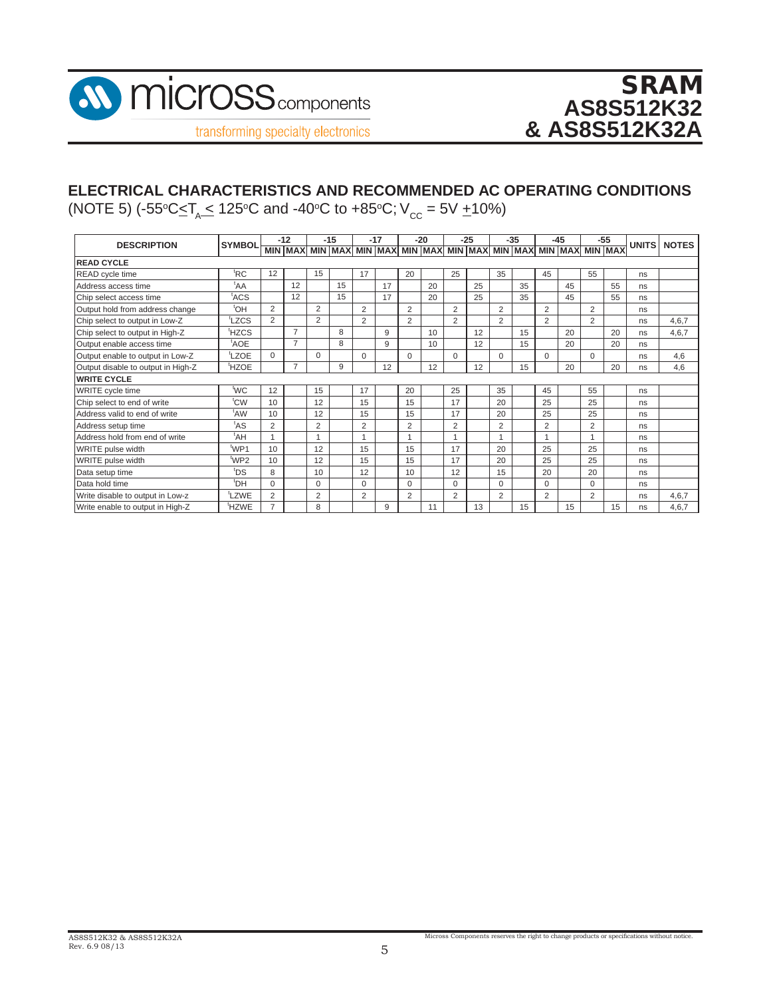

# **ELECTRICAL CHARACTERISTICS AND RECOMMENDED AC OPERATING CONDITIONS**

(NOTE 5) (-55℃≤T<sub>A</sub>\_≤ 125℃ and -40℃ to +85℃; V<sub>cc</sub> = 5V <u>+</u>10%)

| <b>DESCRIPTION</b>                 | <b>SYMBOL</b>      |                | $-12$                                                                   |                | $-15$ |                | $-17$ |                | $-20$ |                | $-25$ |                | $-35$ |                | $-45$ |                | $-55$ | UNITS <sup>I</sup> | <b>NOTES</b> |
|------------------------------------|--------------------|----------------|-------------------------------------------------------------------------|----------------|-------|----------------|-------|----------------|-------|----------------|-------|----------------|-------|----------------|-------|----------------|-------|--------------------|--------------|
|                                    |                    |                | MIN MAX MIN MAX MIN MAX MIN MAX MIN MAX MIN MAX MIN MAX MIN MAX MIN MAX |                |       |                |       |                |       |                |       |                |       |                |       |                |       |                    |              |
| <b>READ CYCLE</b>                  |                    |                |                                                                         |                |       |                |       |                |       |                |       |                |       |                |       |                |       |                    |              |
| READ cycle time                    | <sup>t</sup> RC    | 12             |                                                                         | 15             |       | 17             |       | 20             |       | 25             |       | 35             |       | 45             |       | 55             |       | ns                 |              |
| Address access time                | ${}^{\text{t}}$ AA |                | 12                                                                      |                | 15    |                | 17    |                | 20    |                | 25    |                | 35    |                | 45    |                | 55    | ns                 |              |
| Chip select access time            | <sup>t</sup> ACS   |                | 12                                                                      |                | 15    |                | 17    |                | 20    |                | 25    |                | 35    |                | 45    |                | 55    | ns                 |              |
| Output hold from address change    | <sup>t</sup> OH    | $\overline{2}$ |                                                                         | $\overline{2}$ |       | 2              |       | $\overline{2}$ |       | $\overline{2}$ |       | $\overline{2}$ |       | $\overline{2}$ |       | $\overline{2}$ |       | ns                 |              |
| Chip select to output in Low-Z     | tLZCS              | $\overline{2}$ |                                                                         | $\overline{2}$ |       | 2              |       | $\overline{2}$ |       | $\overline{2}$ |       | $\overline{2}$ |       | $\overline{2}$ |       | $\overline{2}$ |       | ns                 | 4,6,7        |
| Chip select to output in High-Z    | <sup>t</sup> HZCS  |                | $\overline{7}$                                                          |                | 8     |                | 9     |                | 10    |                | 12    |                | 15    |                | 20    |                | 20    | ns                 | 4,6,7        |
| Output enable access time          | <sup>t</sup> AOE   |                | $\overline{7}$                                                          |                | 8     |                | 9     |                | 10    |                | 12    |                | 15    |                | 20    |                | 20    | ns                 |              |
| Output enable to output in Low-Z   | <sup>t</sup> LZOE  | $\Omega$       |                                                                         | $\Omega$       |       | $\Omega$       |       | $\mathbf 0$    |       | $\Omega$       |       | $\Omega$       |       | $\Omega$       |       | 0              |       | ns                 | 4,6          |
| Output disable to output in High-Z | <sup>t</sup> HZOE  |                | $\overline{7}$                                                          |                | 9     |                | 12    |                | 12    |                | 12    |                | 15    |                | 20    |                | 20    | ns                 | 4,6          |
| <b>WRITE CYCLE</b>                 |                    |                |                                                                         |                |       |                |       |                |       |                |       |                |       |                |       |                |       |                    |              |
| WRITE cycle time                   | <sup>t</sup> WC    | 12             |                                                                         | 15             |       | 17             |       | 20             |       | 25             |       | 35             |       | 45             |       | 55             |       | ns                 |              |
| Chip select to end of write        | t <sub>CW</sub>    | 10             |                                                                         | 12             |       | 15             |       | 15             |       | 17             |       | 20             |       | 25             |       | 25             |       | ns                 |              |
| Address valid to end of write      | <sup>t</sup> AW    | 10             |                                                                         | 12             |       | 15             |       | 15             |       | 17             |       | 20             |       | 25             |       | 25             |       | ns                 |              |
| Address setup time                 | <sup>t</sup> AS    | 2              |                                                                         | $\overline{2}$ |       | $\overline{2}$ |       | $\overline{2}$ |       | 2              |       | $\overline{2}$ |       | $\overline{2}$ |       | $\overline{2}$ |       | ns                 |              |
| Address hold from end of write     | ${}^{\text{t}}$ AH |                |                                                                         |                |       |                |       |                |       |                |       |                |       |                |       |                |       | ns                 |              |
| WRITE pulse width                  | t <sub>WP1</sub>   | 10             |                                                                         | 12             |       | 15             |       | 15             |       | 17             |       | 20             |       | 25             |       | 25             |       | ns                 |              |
| WRITE pulse width                  | <sup>t</sup> WP2   | 10             |                                                                         | 12             |       | 15             |       | 15             |       | 17             |       | 20             |       | 25             |       | 25             |       | ns                 |              |
| Data setup time                    | <sup>t</sup> DS    | 8              |                                                                         | 10             |       | 12             |       | 10             |       | 12             |       | 15             |       | 20             |       | 20             |       | ns                 |              |
| Data hold time                     | <sup>t</sup> DH    | 0              |                                                                         | $\mathbf 0$    |       | $\Omega$       |       | $\mathbf 0$    |       | $\Omega$       |       | 0              |       | $\Omega$       |       | $\Omega$       |       | ns                 |              |
| Write disable to output in Low-z   | LZWE <sup></sup>   | $\overline{2}$ |                                                                         | 2              |       | 2              |       | $\overline{2}$ |       | $\overline{2}$ |       | 2              |       | $\overline{2}$ |       | $\overline{2}$ |       | ns                 | 4,6,7        |
| Write enable to output in High-Z   | <sup>t</sup> HZWE  | 7              |                                                                         | 8              |       |                | 9     |                | 11    |                | 13    |                | 15    |                | 15    |                | 15    | ns                 | 4,6,7        |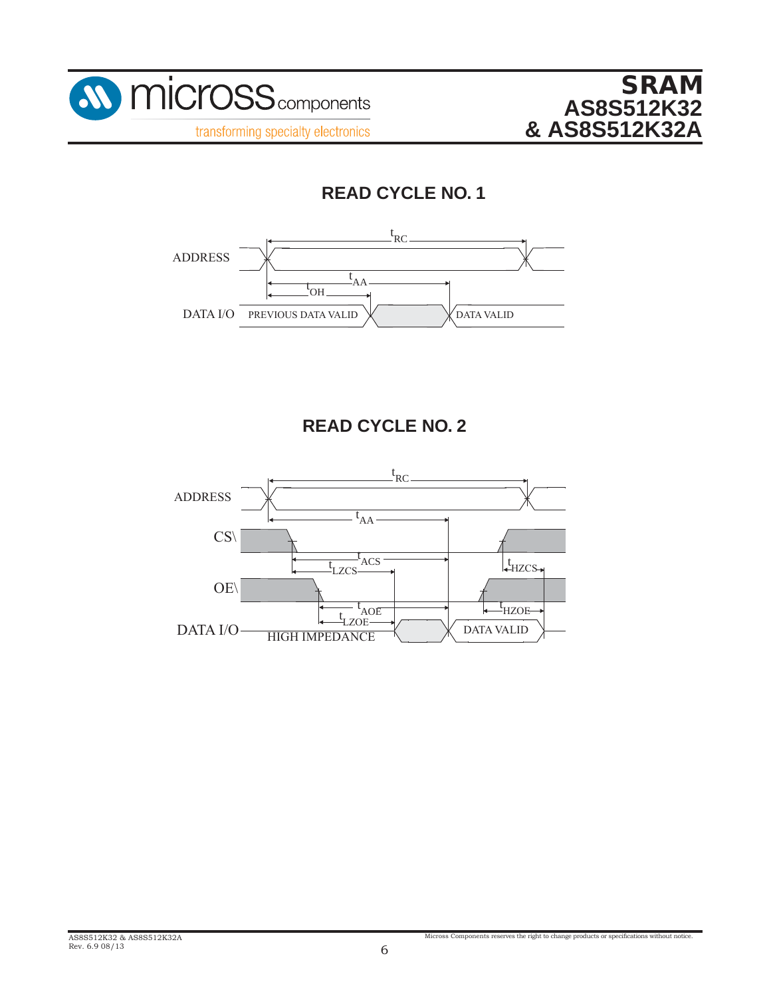



# **READ CYCLE NO. 1**



## **READ CYCLE NO. 2**

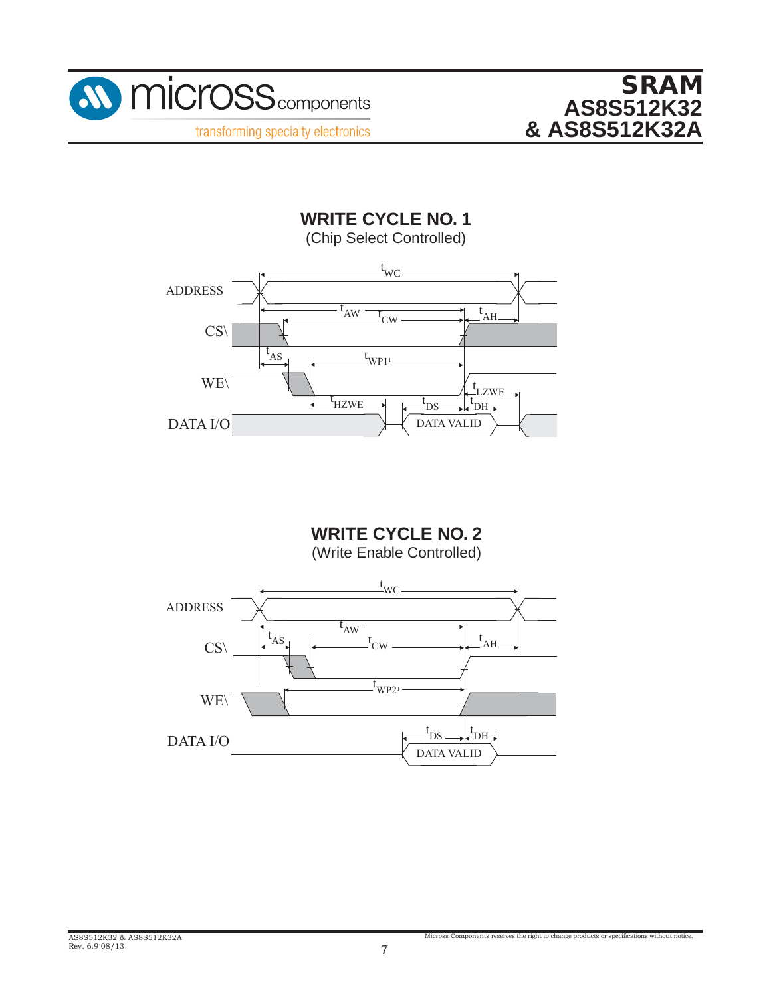



**WRITE CYCLE NO. 1** (Chip Select Controlled)



**WRITE CYCLE NO. 2** (Write Enable Controlled)

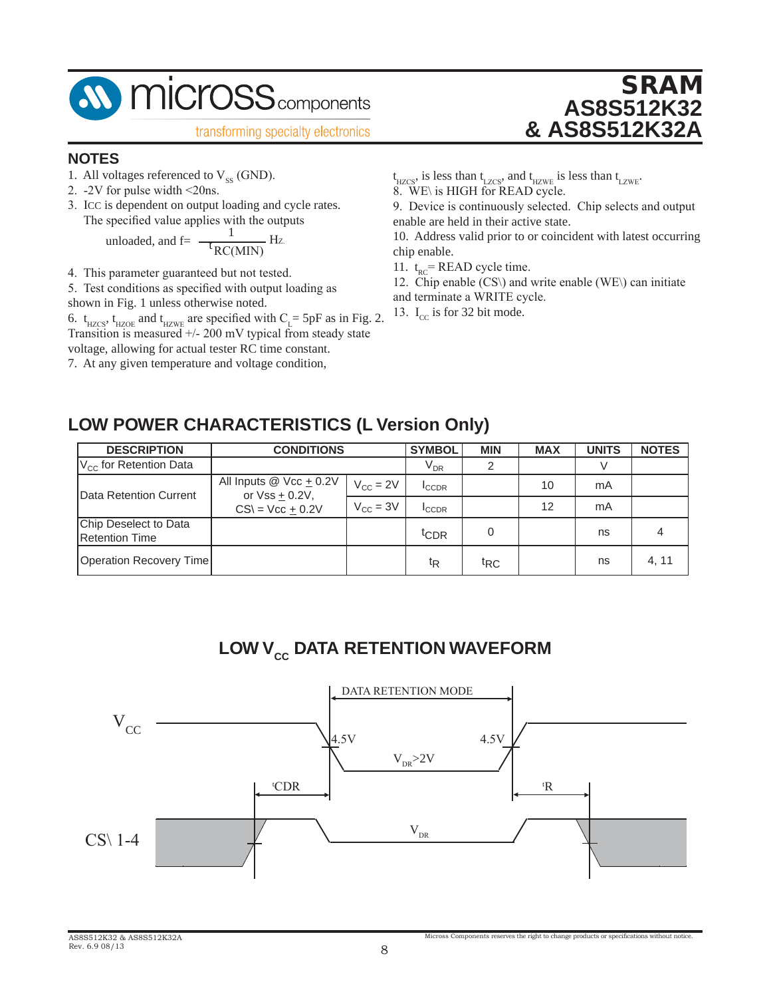

### **NOTES**

- 1. All voltages referenced to  $V_{SS}$  (GND).
- 2. -2V for pulse width <20ns.
- 3. ICC is dependent on output loading and cycle rates. The specified value applies with the outputs

unloaded, and f = 
$$
\frac{1}{\text{t}_{RC(MIN)}}
$$
 Hz.

- 4. This parameter guaranteed but not tested.
- 5. Test conditions as specified with output loading as
- shown in Fig. 1 unless otherwise noted.

6.  $t_{HZCS}$ ,  $t_{HZOE}$  and  $t_{HZWE}$  are specified with  $C_{L}$  = 5pF as in Fig. 2. Transition is measured +/- 200 mV typical from steady state

voltage, allowing for actual tester RC time constant.

7. At any given temperature and voltage condition,

 $t_{\text{HZCS}}$ , is less than  $t_{\text{LZCS}}$ , and  $t_{\text{HZWE}}$  is less than  $t_{\text{LZWE}}$ .

8. WE\ is HIGH for READ cycle.

9. Device is continuously selected. Chip selects and output enable are held in their active state.

SRAM

**AS8S512K32**

**& AS8S512K32A**

10. Address valid prior to or coincident with latest occurring chip enable.

11.  $t_{RC}$ = READ cycle time.

- 12. Chip enable (CS\) and write enable (WE\) can initiate
- and terminate a WRITE cycle.
- 13.  $I_{cc}$  is for 32 bit mode.

## **LOW POWER CHARACTERISTICS (L Version Only)**

| <b>DESCRIPTION</b>                             | <b>CONDITIONS</b>                                  |                      | <b>SYMBOL</b>                 | <b>MIN</b>      | <b>MAX</b> | <b>UNITS</b> | <b>NOTES</b> |
|------------------------------------------------|----------------------------------------------------|----------------------|-------------------------------|-----------------|------------|--------------|--------------|
| $V_{\text{cc}}$ for Retention Data             |                                                    |                      | $\bm{\mathsf{V}}_\mathsf{DR}$ |                 |            |              |              |
| Data Retention Current                         | All Inputs $@$ Vcc $+$ 0.2V<br>or $Vss \pm 0.2V$ , | $V_{\rm CC} = 2V$    | <b>ICCDR</b>                  |                 | 10         | mA           |              |
|                                                | $CS = Vcc + 0.2V$                                  | $V_{\text{CC}} = 3V$ | <b>I</b> CCDR                 |                 | 12         | mA           |              |
| Chip Deselect to Data<br><b>Retention Time</b> |                                                    |                      | tCDR                          | 0               |            | ns           |              |
| Operation Recovery Time                        |                                                    |                      | ţŖ                            | t <sub>RC</sub> |            | ns           | 4, 11        |

## **LOW V<sub>cc</sub> DATA RETENTION WAVEFORM**

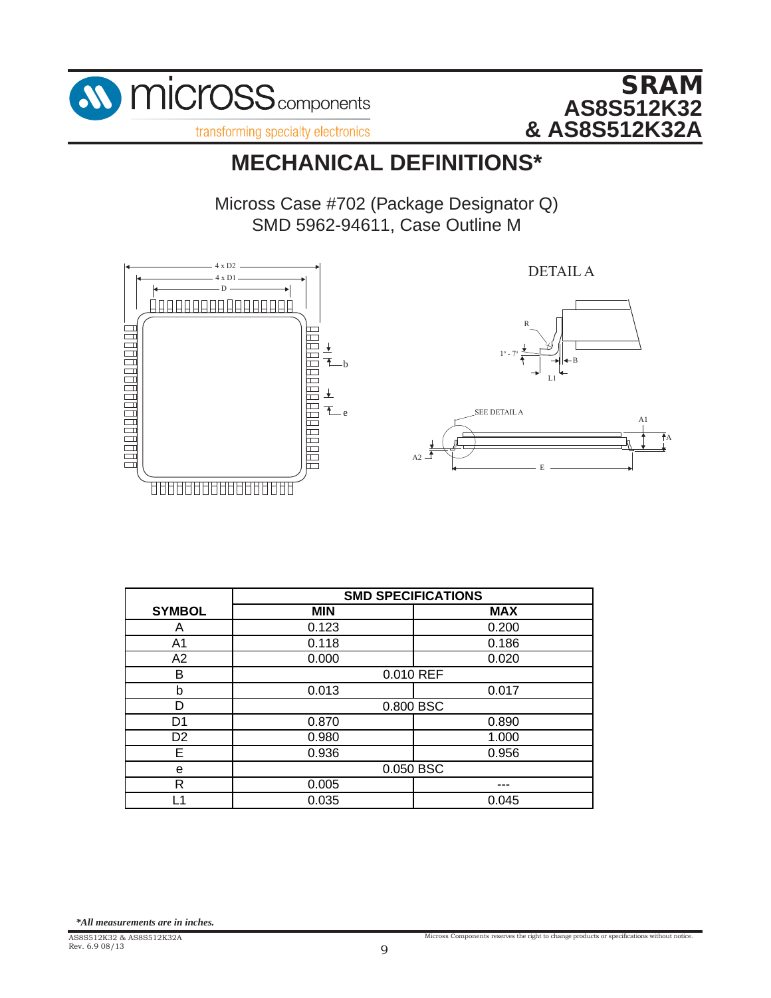



# **MECHANICAL DEFINITIONS\***

Micross Case #702 (Package Designator Q) SMD 5962-94611, Case Outline M



|                | <b>SMD SPECIFICATIONS</b> |            |
|----------------|---------------------------|------------|
| <b>SYMBOL</b>  | <b>MIN</b>                | <b>MAX</b> |
| Α              | 0.123                     | 0.200      |
| A <sub>1</sub> | 0.118                     | 0.186      |
| A2             | 0.000                     | 0.020      |
| в              | 0.010 REF                 |            |
| b              | 0.013                     | 0.017      |
|                | 0.800 BSC                 |            |
| D <sub>1</sub> | 0.870                     | 0.890      |
| D <sub>2</sub> | 0.980                     | 1.000      |
| E              | 0.936                     | 0.956      |
| е              | 0.050 BSC                 |            |
| R              | 0.005                     |            |
| и              | 0.035                     | 0.045      |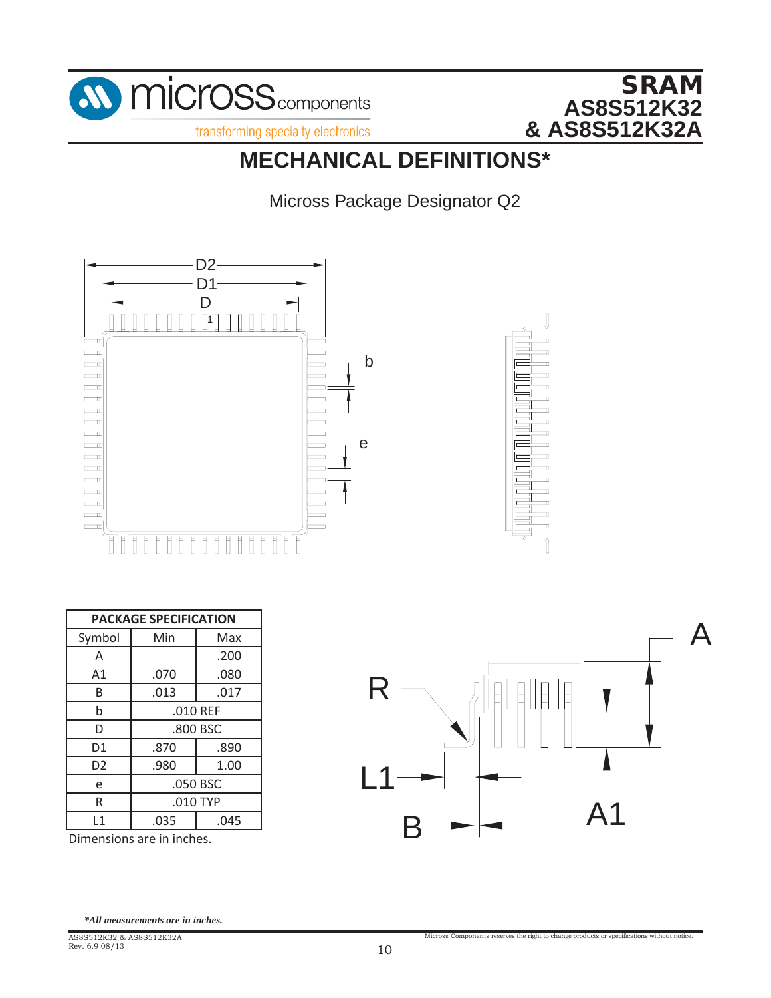

# **MECHANICAL DEFINITIONS\***

Micross Package Designator Q2



|                |      | <b>PACKAGE SPECIFICATION</b> |  |  |  |  |  |  |  |  |
|----------------|------|------------------------------|--|--|--|--|--|--|--|--|
| Symbol         | Min  | Max                          |  |  |  |  |  |  |  |  |
| A              |      | .200                         |  |  |  |  |  |  |  |  |
| A1             | .070 | .080                         |  |  |  |  |  |  |  |  |
| B              | .013 | .017                         |  |  |  |  |  |  |  |  |
| $\mathsf b$    |      | .010 REF                     |  |  |  |  |  |  |  |  |
| D              |      | .800 BSC                     |  |  |  |  |  |  |  |  |
| D1             | .870 | .890                         |  |  |  |  |  |  |  |  |
| D <sub>2</sub> | .980 | 1.00                         |  |  |  |  |  |  |  |  |
| e              |      | .050 BSC                     |  |  |  |  |  |  |  |  |
| R              |      | $.010$ TYP                   |  |  |  |  |  |  |  |  |
| L1             | .035 | .045                         |  |  |  |  |  |  |  |  |

Dimensions are in inches.  $\mathbf{S}$ .



Micross Components reserves the right to change products or specifications without notice.

*\*All measurements are in inches.*

AS8S512K32 & AS8S512K32A Rev. 6.9 08/13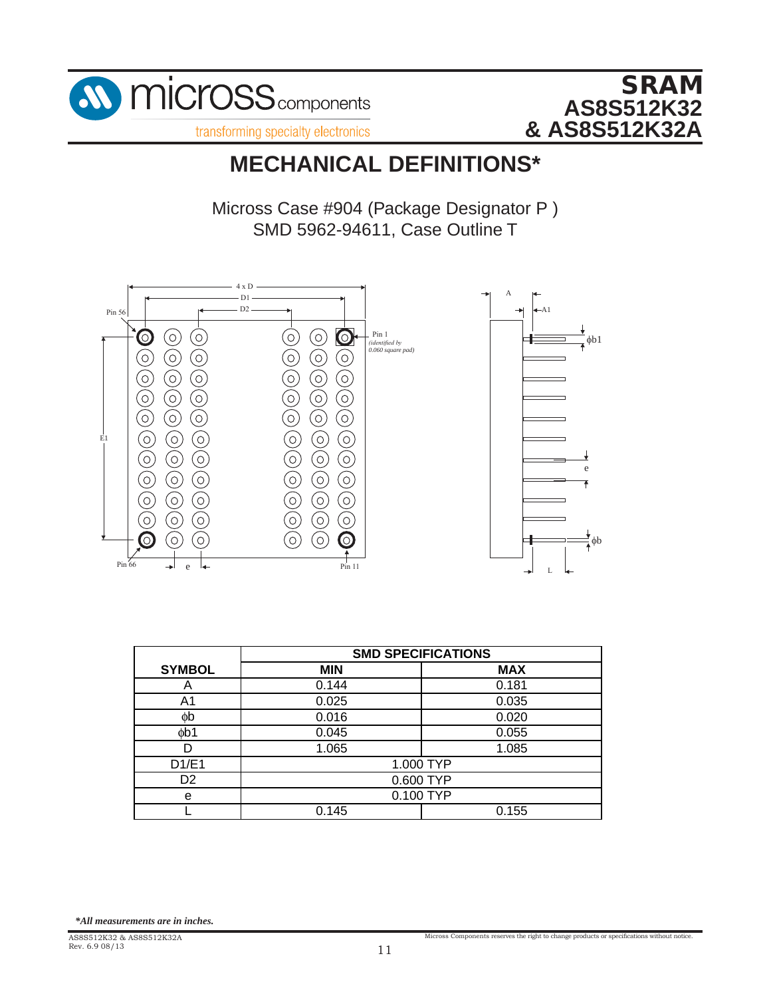



### **MECHANICAL DEFINITIONS\***  $\overline{\phantom{a}}$

Micross Case #904 (Package Designator P ) SMD 5962-94611, Case Outline T



|                | <b>SMD SPECIFICATIONS</b> |            |  |
|----------------|---------------------------|------------|--|
| <b>SYMBOL</b>  | <b>MIN</b>                | <b>MAX</b> |  |
| A              | 0.144                     | 0.181      |  |
| A1             | 0.025<br>0.035            |            |  |
| фb             | 0.016                     | 0.020      |  |
| db1            | 0.045                     | 0.055      |  |
|                | 1.085<br>1.065            |            |  |
| D1/E1          | 1.000 TYP                 |            |  |
| D <sub>2</sub> | 0.600 TYP                 |            |  |
| e              | 0.100 TYP                 |            |  |
|                | 0.145                     | 0.155      |  |

*<sup>\*</sup>All measurements are in inches.*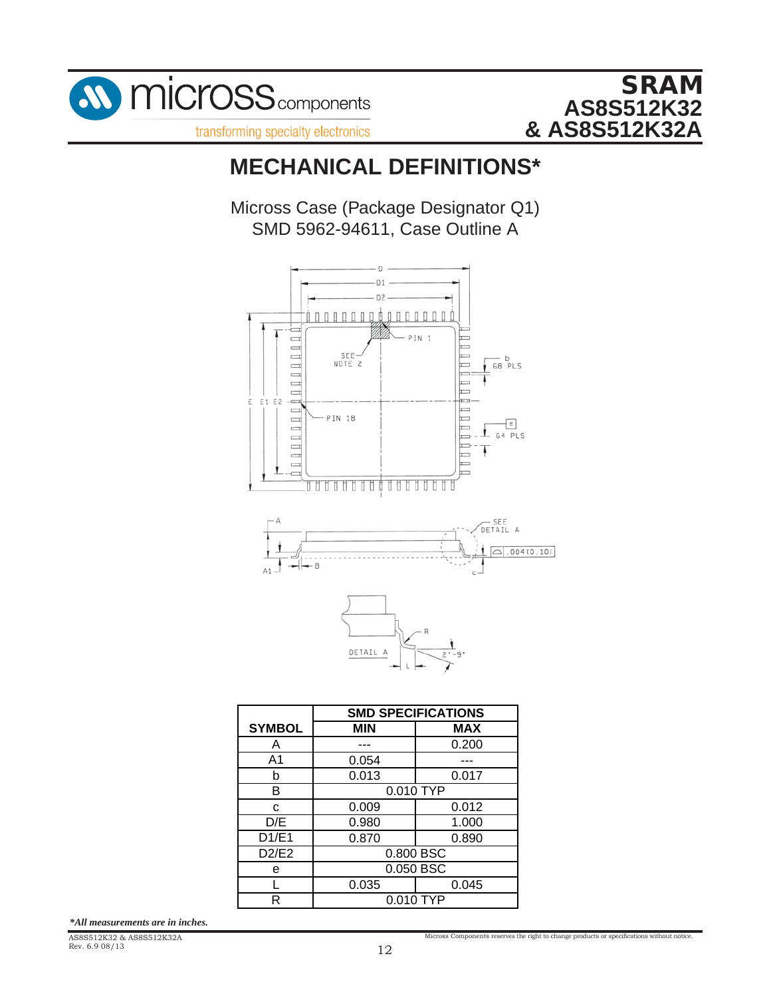

transforming specialty electronics

# **MECHANICAL DEFINITIONS\***

Micross Case (Package Designator Q1) SMD 5962-94611, Case Outline A



|               | <b>SMD SPECIFICATIONS</b> |            |  |  |
|---------------|---------------------------|------------|--|--|
| <b>SYMBOL</b> | <b>MIN</b>                | <b>MAX</b> |  |  |
| Α             |                           | 0.200      |  |  |
| A1            | 0.054                     |            |  |  |
| b             | 0.013<br>0.017            |            |  |  |
| B             | 0.010 TYP                 |            |  |  |
| C             | 0.009                     | 0.012      |  |  |
| D/E           | 0.980                     | 1.000      |  |  |
| D1/E1         | 0.890<br>0.870            |            |  |  |
| D2/E2         | 0.800 BSC                 |            |  |  |
| е             | 0.050 BSC                 |            |  |  |
|               | 0.035                     | 0.045      |  |  |
| R             | 0.010 TYP                 |            |  |  |

*\*All measurements are in inches.*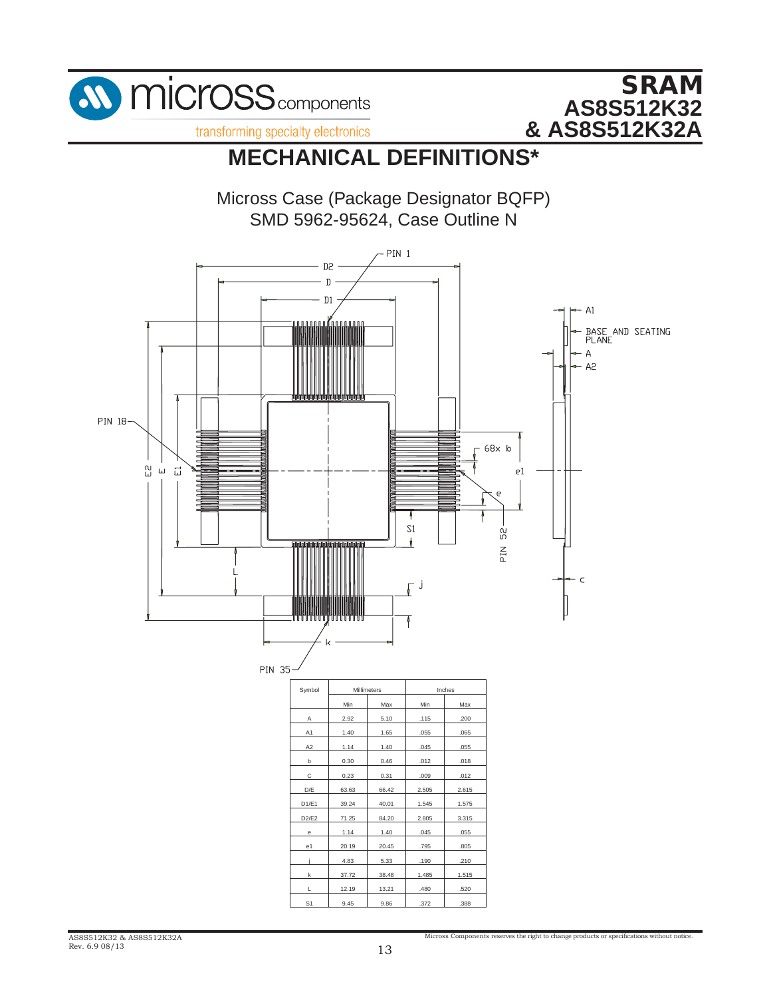

# **MECHANICAL DEFINITIONS\***

Micross Case (Package Designator BQFP) SMD 5962-95624, Case Outline N



Micross Components reserves the right to change products or specifications without notice.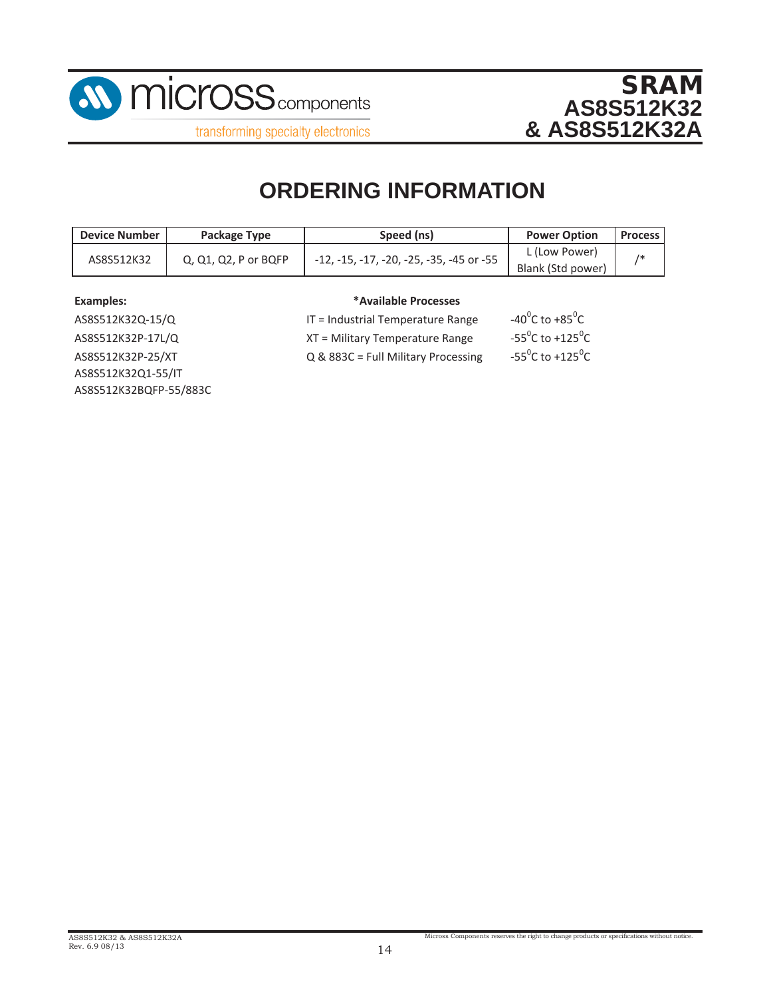



**ORDERING INFORMATION**

| <b>Device Number</b>               | Package Type | Speed (ns)                               | <b>Power Option</b> | <b>Process</b> |
|------------------------------------|--------------|------------------------------------------|---------------------|----------------|
| AS8S512K32<br>Q, Q1, Q2, P or BQFP |              |                                          | L (Low Power)       |                |
|                                    |              | -12, -15, -17, -20, -25, -35, -45 or -55 | Blank (Std power)   |                |

#### **Examples:**

#### **\*Available Processes**

AS8S512K32BQFP‐55/883C AS8S512K32P‐25/XT AS8S512K32Q1‐55/IT AS8S512K32Q‐15/Q AS8S512K32P‐17L/Q

 $IT = Industrial Temperature Range$  $XT = Military Temperature Range$ Q & 883C = Full Military Processing

C to  $+85^{\circ}$ C C to +125 $\mathrm{^0C}$ C to +125 $\mathrm{^0C}$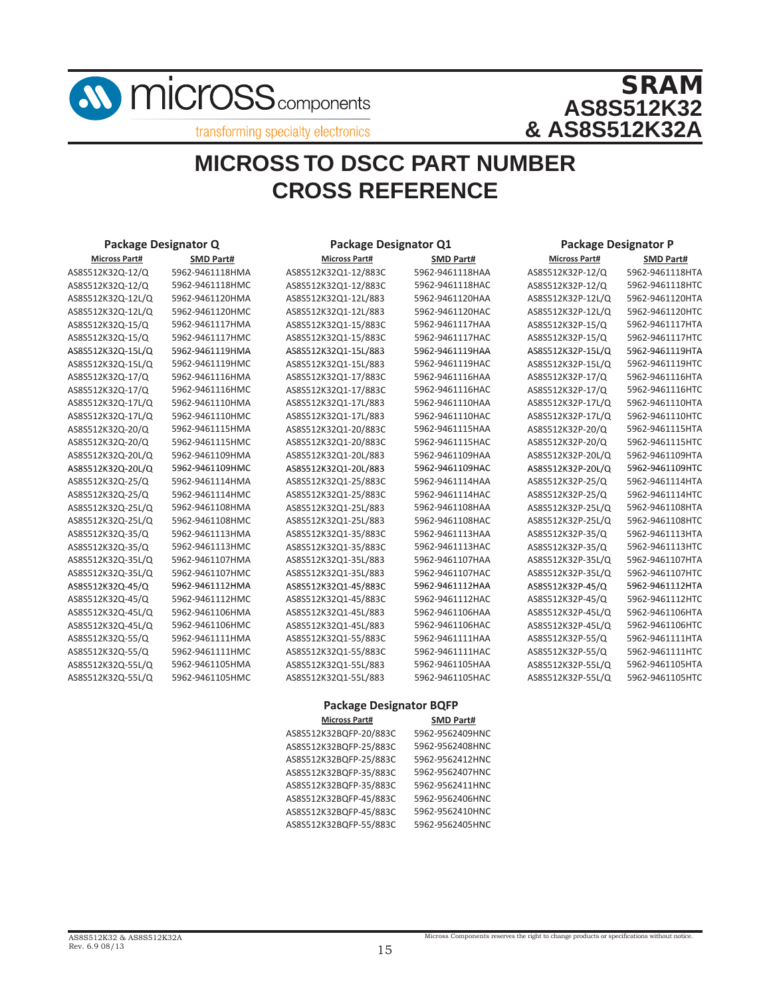

# **MICROSS TO DSCC PART NUMBER CROSS REFERENCE**

| Package Designator Q |                  | <b>Package Designator Q1</b>   |                                      | <b>Package Designator P</b> |                  |
|----------------------|------------------|--------------------------------|--------------------------------------|-----------------------------|------------------|
| <b>Micross Part#</b> | <b>SMD Part#</b> | <b>Micross Part#</b>           | <b>SMD Part#</b>                     | <b>Micross Part#</b>        | <b>SMD Part#</b> |
| AS8S512K32Q-12/Q     | 5962-9461118HMA  | AS8S512K32Q1-12/883C           | 5962-9461118HAA                      | AS8S512K32P-12/Q            | 5962-9461118HTA  |
| AS8S512K32Q-12/Q     | 5962-9461118HMC  | AS8S512K32Q1-12/883C           | 5962-9461118HAC<br>AS8S512K32P-12/Q  |                             | 5962-9461118HTC  |
| AS8S512K32Q-12L/Q    | 5962-9461120HMA  | AS8S512K32Q1-12L/883           | 5962-9461120HAA<br>AS8S512K32P-12L/Q |                             | 5962-9461120HTA  |
| AS8S512K32Q-12L/Q    | 5962-9461120HMC  | AS8S512K32Q1-12L/883           | 5962-9461120HAC                      | AS8S512K32P-12L/Q           | 5962-9461120HTC  |
| AS8S512K32Q-15/Q     | 5962-9461117HMA  | AS8S512K32Q1-15/883C           | 5962-9461117HAA                      | AS8S512K32P-15/Q            | 5962-9461117HTA  |
| AS8S512K32Q-15/Q     | 5962-9461117HMC  | AS8S512K32Q1-15/883C           | 5962-9461117HAC                      | AS8S512K32P-15/Q            | 5962-9461117HTC  |
| AS8S512K32Q-15L/Q    | 5962-9461119HMA  | AS8S512K32Q1-15L/883           | 5962-9461119HAA                      | AS8S512K32P-15L/Q           | 5962-9461119HTA  |
| AS8S512K32Q-15L/Q    | 5962-9461119HMC  | AS8S512K32Q1-15L/883           | 5962-9461119HAC                      | AS8S512K32P-15L/Q           | 5962-9461119HTC  |
| AS8S512K32Q-17/Q     | 5962-9461116HMA  | AS8S512K32Q1-17/883C           | 5962-9461116HAA                      | AS8S512K32P-17/Q            | 5962-9461116HTA  |
| AS8S512K32Q-17/Q     | 5962-9461116HMC  | AS8S512K32Q1-17/883C           | 5962-9461116HAC                      | AS8S512K32P-17/Q            | 5962-9461116HTC  |
| AS8S512K32Q-17L/Q    | 5962-9461110HMA  | AS8S512K32Q1-17L/883           | 5962-9461110HAA                      | AS8S512K32P-17L/Q           | 5962-9461110HTA  |
| AS8S512K32Q-17L/Q    | 5962-9461110HMC  | AS8S512K32Q1-17L/883           | 5962-9461110HAC                      | AS8S512K32P-17L/Q           | 5962-9461110HTC  |
| AS8S512K32Q-20/Q     | 5962-9461115HMA  | AS8S512K32Q1-20/883C           | 5962-9461115HAA                      | AS8S512K32P-20/Q            | 5962-9461115HTA  |
| AS8S512K32Q-20/Q     | 5962-9461115HMC  | AS8S512K32Q1-20/883C           | 5962-9461115HAC                      | AS8S512K32P-20/Q            | 5962-9461115HTC  |
| AS8S512K32Q-20L/Q    | 5962-9461109HMA  | AS8S512K32Q1-20L/883           | 5962-9461109HAA                      | AS8S512K32P-20L/Q           | 5962-9461109HTA  |
| AS8S512K32Q-20L/Q    | 5962-9461109HMC  | AS8S512K32Q1-20L/883           | 5962-9461109HAC                      | AS8S512K32P-20L/Q           | 5962-9461109HTC  |
| AS8S512K32Q-25/Q     | 5962-9461114HMA  | AS8S512K32Q1-25/883C           | 5962-9461114HAA                      | AS8S512K32P-25/Q            | 5962-9461114HTA  |
| AS8S512K32Q-25/Q     | 5962-9461114HMC  | AS8S512K32Q1-25/883C           | 5962-9461114HAC                      | AS8S512K32P-25/Q            | 5962-9461114HTC  |
| AS8S512K32Q-25L/Q    | 5962-9461108HMA  | AS8S512K32Q1-25L/883           | 5962-9461108HAA                      | AS8S512K32P-25L/Q           | 5962-9461108HTA  |
| AS8S512K32Q-25L/Q    | 5962-9461108HMC  | AS8S512K32Q1-25L/883           | 5962-9461108HAC                      | AS8S512K32P-25L/Q           | 5962-9461108HTC  |
| AS8S512K32Q-35/Q     | 5962-9461113HMA  | AS8S512K32Q1-35/883C           | 5962-9461113HAA                      | AS8S512K32P-35/Q            | 5962-9461113HTA  |
| AS8S512K32Q-35/Q     | 5962-9461113HMC  | AS8S512K32Q1-35/883C           | 5962-9461113HAC                      | AS8S512K32P-35/Q            | 5962-9461113HTC  |
| AS8S512K32Q-35L/Q    | 5962-9461107HMA  | AS8S512K32Q1-35L/883           | 5962-9461107HAA                      | AS8S512K32P-35L/Q           | 5962-9461107HTA  |
| AS8S512K32Q-35L/Q    | 5962-9461107HMC  | AS8S512K32Q1-35L/883           | 5962-9461107HAC                      | AS8S512K32P-35L/Q           | 5962-9461107HTC  |
| AS8S512K32Q-45/Q     | 5962-9461112HMA  | AS8S512K32Q1-45/883C           | 5962-9461112HAA                      | AS8S512K32P-45/Q            | 5962-9461112HTA  |
| AS8S512K32Q-45/Q     | 5962-9461112HMC  | AS8S512K32Q1-45/883C           | 5962-9461112HAC                      | AS8S512K32P-45/Q            | 5962-9461112HTC  |
| AS8S512K32Q-45L/Q    | 5962-9461106HMA  | AS8S512K32Q1-45L/883           | 5962-9461106HAA                      | AS8S512K32P-45L/Q           | 5962-9461106HTA  |
| AS8S512K32Q-45L/Q    | 5962-9461106HMC  | AS8S512K32Q1-45L/883           | 5962-9461106HAC                      | AS8S512K32P-45L/Q           | 5962-9461106HTC  |
| AS8S512K32Q-55/Q     | 5962-9461111HMA  | AS8S512K32Q1-55/883C           | 5962-9461111HAA                      | AS8S512K32P-55/Q            | 5962-9461111HTA  |
| AS8S512K32Q-55/Q     | 5962-9461111HMC  | AS8S512K32Q1-55/883C           | 5962-9461111HAC                      | AS8S512K32P-55/Q            | 5962-9461111HTC  |
| AS8S512K32Q-55L/Q    | 5962-9461105HMA  | AS8S512K32Q1-55L/883           | 5962-9461105HAA                      | AS8S512K32P-55L/Q           | 5962-9461105HTA  |
| AS8S512K32Q-55L/Q    | 5962-9461105HMC  | AS8S512K32Q1-55L/883           | 5962-9461105HAC                      | AS8S512K32P-55L/Q           | 5962-9461105HTC  |
|                      |                  | <b>Package Designator BQFP</b> |                                      |                             |                  |
|                      |                  | <b>Micross Part#</b>           | <b>SMD Part#</b>                     |                             |                  |

| <b>IVIICTOSS PATL#</b> | <b>SIVID Part#</b> |
|------------------------|--------------------|
| AS8S512K32BQFP-20/883C | 5962-9562409HNC    |
| AS8S512K32BQFP-25/883C | 5962-9562408HNC    |
| AS8S512K32BQFP-25/883C | 5962-9562412HNC    |
| AS8S512K32BQFP-35/883C | 5962-9562407HNC    |
| AS8S512K32BQFP-35/883C | 5962-9562411HNC    |
| AS8S512K32BQFP-45/883C | 5962-9562406HNC    |
| AS8S512K32BQFP-45/883C | 5962-9562410HNC    |
| AS8S512K32BQFP-55/883C | 5962-9562405HNC    |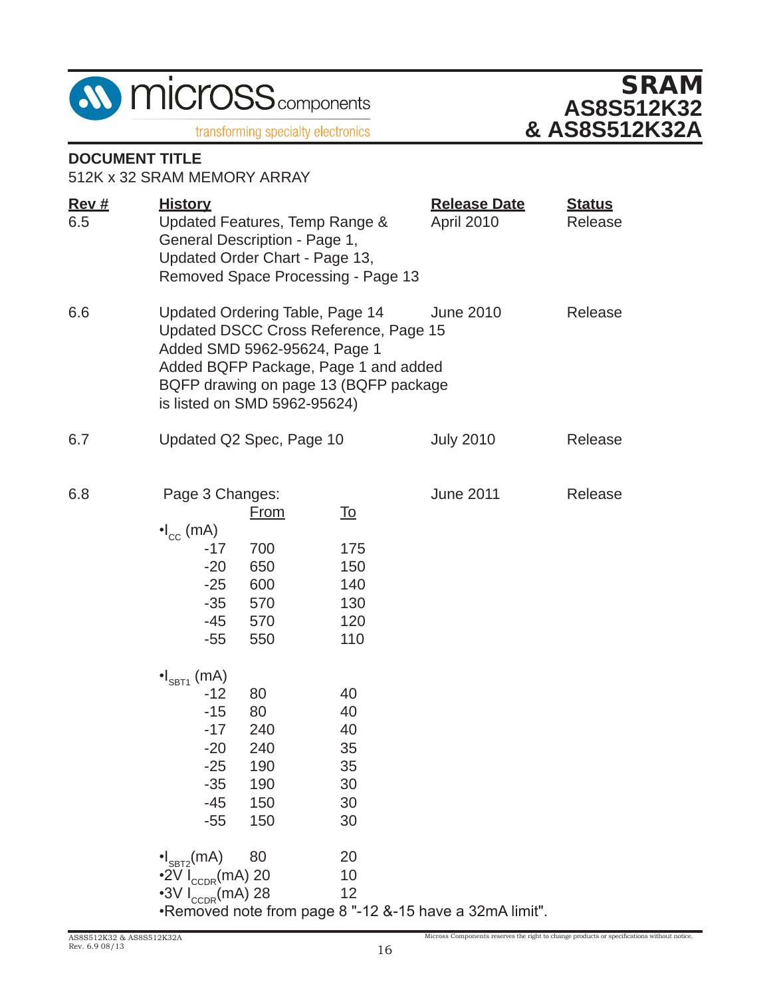



### **DOCUMENT TITLE**

512K x 32 SRAM MEMORY ARRAY

| Rev#<br>6.5 | <b>Release Date</b><br><u>History</u><br>April 2010<br>Updated Features, Temp Range &<br>General Description - Page 1,<br>Updated Order Chart - Page 13,<br>Removed Space Processing - Page 13                                                    |                                                       |                                                     |                                                         | <b>Status</b><br>Release |
|-------------|---------------------------------------------------------------------------------------------------------------------------------------------------------------------------------------------------------------------------------------------------|-------------------------------------------------------|-----------------------------------------------------|---------------------------------------------------------|--------------------------|
| 6.6         | Updated Ordering Table, Page 14<br>June 2010<br>Release<br>Updated DSCC Cross Reference, Page 15<br>Added SMD 5962-95624, Page 1<br>Added BQFP Package, Page 1 and added<br>BQFP drawing on page 13 (BQFP package<br>is listed on SMD 5962-95624) |                                                       |                                                     |                                                         |                          |
| 6.7         |                                                                                                                                                                                                                                                   | Updated Q2 Spec, Page 10                              |                                                     | <b>July 2010</b>                                        | Release                  |
| 6.8         | Page 3 Changes:<br>$\cdot I_{\text{cc}}$ (mA)<br>$-17$<br>$-20$<br>$-25$<br>$-35$<br>-45<br>$-55$                                                                                                                                                 | <u>From</u><br>700<br>650<br>600<br>570<br>570<br>550 | <u>To</u><br>175<br>150<br>140<br>130<br>120<br>110 | <b>June 2011</b>                                        | Release                  |
|             | $\bullet$ <sub>SBT1</sub> (mA)<br>$-12$<br>$-15$<br>$-17$<br>$-20$<br>$-25$<br>$-35$<br>$-45$<br>$-55$                                                                                                                                            | 80<br>80<br>240<br>240<br>190<br>190<br>150<br>150    | 40<br>40<br>40<br>35<br>35<br>30<br>30<br>30        |                                                         |                          |
|             | $\cdot I_{\texttt{SBT2}}(mA)$<br>$\cdot$ 2V I <sub>CCDR</sub> (mA) 20<br>$\cdot$ 3V I <sub>CCDR</sub> (mA) 28                                                                                                                                     | 80                                                    | 20<br>10<br>12                                      | .Removed note from page 8 "-12 &-15 have a 32mA limit". |                          |

Micross Components reserves the right to change products or specifications without notice.